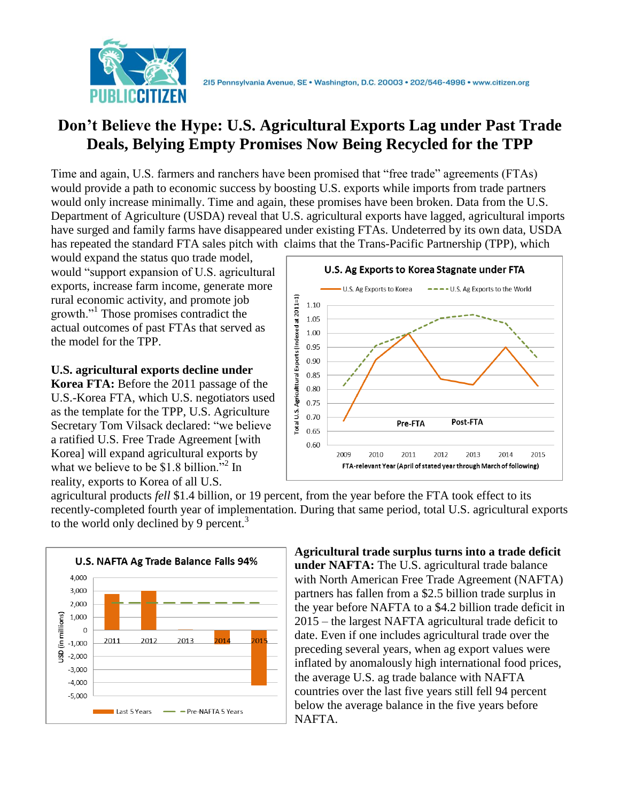

## **Don't Believe the Hype: U.S. Agricultural Exports Lag under Past Trade Deals, Belying Empty Promises Now Being Recycled for the TPP**

Time and again, U.S. farmers and ranchers have been promised that "free trade" agreements (FTAs) would provide a path to economic success by boosting U.S. exports while imports from trade partners would only increase minimally. Time and again, these promises have been broken. Data from the U.S. Department of Agriculture (USDA) reveal that U.S. agricultural exports have lagged, agricultural imports have surged and family farms have disappeared under existing FTAs. Undeterred by its own data, USDA has repeated the standard FTA sales pitch with claims that the Trans-Pacific Partnership (TPP), which

would expand the status quo trade model, would "support expansion of U.S. agricultural exports, increase farm income, generate more rural economic activity, and promote job growth."<sup>1</sup> Those promises contradict the actual outcomes of past FTAs that served as the model for the TPP.

**U.S. agricultural exports decline under** 

**Korea FTA:** Before the 2011 passage of the U.S.-Korea FTA, which U.S. negotiators used as the template for the TPP, U.S. Agriculture Secretary Tom Vilsack declared: "we believe a ratified U.S. Free Trade Agreement [with Korea] will expand agricultural exports by what we believe to be \$1.8 billion."<sup>2</sup> In reality, exports to Korea of all U.S.



agricultural products *fell* \$1.4 billion, or 19 percent, from the year before the FTA took effect to its recently-completed fourth year of implementation. During that same period, total U.S. agricultural exports to the world only declined by 9 percent.<sup>3</sup>



**Agricultural trade surplus turns into a trade deficit under NAFTA:** The U.S. agricultural trade balance with North American Free Trade Agreement (NAFTA) partners has fallen from a \$2.5 billion trade surplus in the year before NAFTA to a \$4.2 billion trade deficit in 2015 – the largest NAFTA agricultural trade deficit to date. Even if one includes agricultural trade over the preceding several years, when ag export values were inflated by anomalously high international food prices, the average U.S. ag trade balance with NAFTA countries over the last five years still fell 94 percent below the average balance in the five years before NAFTA.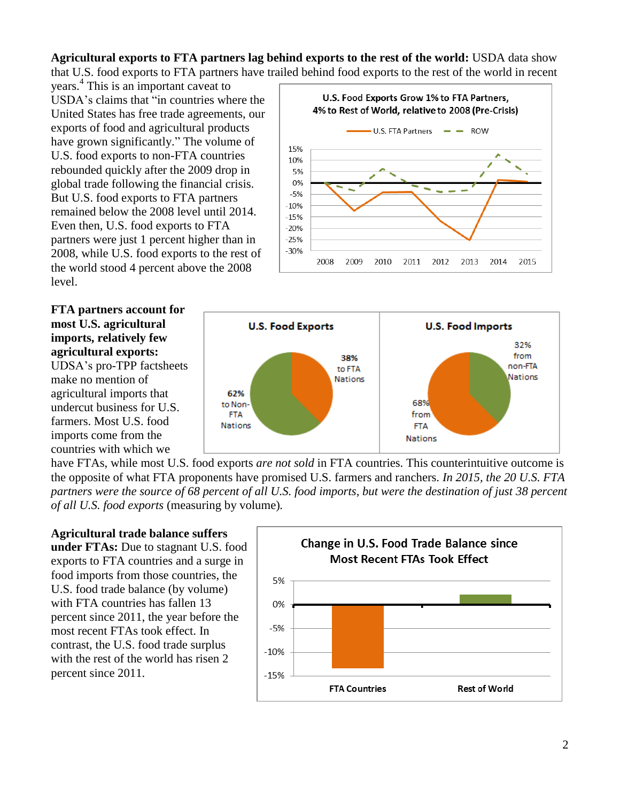**Agricultural exports to FTA partners lag behind exports to the rest of the world:** USDA data show that U.S. food exports to FTA partners have trailed behind food exports to the rest of the world in recent

years. 4 This is an important caveat to USDA's claims that "in countries where the United States has free trade agreements, our exports of food and agricultural products have grown significantly." The volume of U.S. food exports to non-FTA countries rebounded quickly after the 2009 drop in global trade following the financial crisis. But U.S. food exports to FTA partners remained below the 2008 level until 2014. Even then, U.S. food exports to FTA partners were just 1 percent higher than in 2008, while U.S. food exports to the rest of the world stood 4 percent above the 2008 level.

**FTA partners account for most U.S. agricultural imports, relatively few agricultural exports:**  UDSA's pro-TPP factsheets make no mention of agricultural imports that undercut business for U.S. farmers. Most U.S. food imports come from the countries with which we





have FTAs, while most U.S. food exports *are not sold* in FTA countries. This counterintuitive outcome is the opposite of what FTA proponents have promised U.S. farmers and ranchers. *In 2015, the 20 U.S. FTA partners were the source of 68 percent of all U.S. food imports, but were the destination of just 38 percent of all U.S. food exports* (measuring by volume)*.*

## **Agricultural trade balance suffers**

**under FTAs:** Due to stagnant U.S. food exports to FTA countries and a surge in food imports from those countries, the U.S. food trade balance (by volume) with FTA countries has fallen 13 percent since 2011, the year before the most recent FTAs took effect. In contrast, the U.S. food trade surplus with the rest of the world has risen 2 percent since 2011.

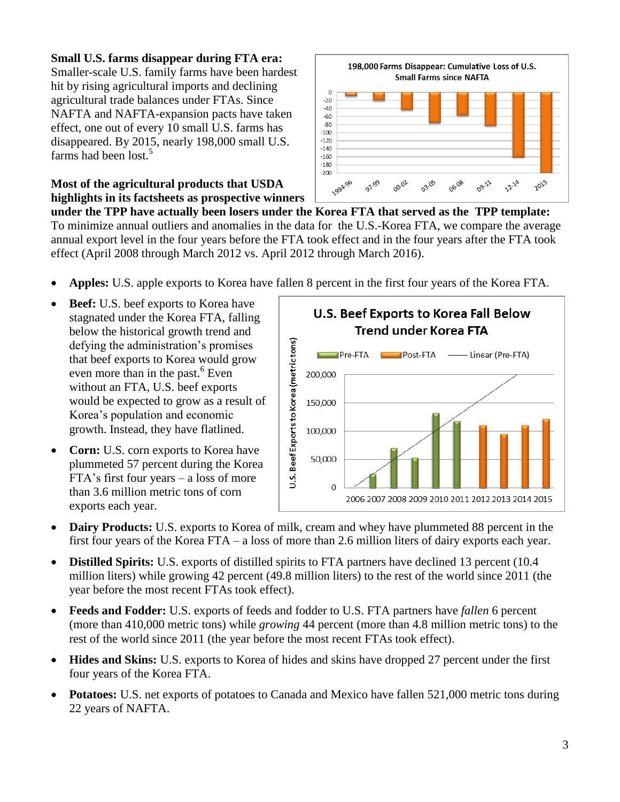## **Small U.S. farms disappear during FTA era:**

Smaller-scale U.S. family farms have been hardest hit by rising agricultural imports and declining agricultural trade balances under FTAs. Since NAFTA and NAFTA-expansion pacts have taken effect, one out of every 10 small U.S. farms has disappeared. By 2015, nearly 198,000 small U.S. farms had been lost.<sup>5</sup>

**Most of the agricultural products that USDA highlights in its factsheets as prospective winners** 



**under the TPP have actually been losers under the Korea FTA that served as the TPP template:** To minimize annual outliers and anomalies in the data for the U.S.-Korea FTA, we compare the average annual export level in the four years before the FTA took effect and in the four years after the FTA took effect (April 2008 through March 2012 vs. April 2012 through March 2016).

- **Apples:** U.S. apple exports to Korea have fallen 8 percent in the first four years of the Korea FTA.
- **Beef:** U.S. beef exports to Korea have stagnated under the Korea FTA, falling below the historical growth trend and defying the administration's promises that beef exports to Korea would grow even more than in the past. $6$  Even without an FTA, U.S. beef exports would be expected to grow as a result of Korea's population and economic growth. Instead, they have flatlined.
- **Corn:** U.S. corn exports to Korea have plummeted 57 percent during the Korea FTA's first four years – a loss of more than 3.6 million metric tons of corn exports each year.



- **Dairy Products:** U.S. exports to Korea of milk, cream and whey have plummeted 88 percent in the first four years of the Korea FTA – a loss of more than 2.6 million liters of dairy exports each year.
- **Distilled Spirits:** U.S. exports of distilled spirits to FTA partners have declined 13 percent (10.4 million liters) while growing 42 percent (49.8 million liters) to the rest of the world since 2011 (the year before the most recent FTAs took effect).
- **Feeds and Fodder:** U.S. exports of feeds and fodder to U.S. FTA partners have *fallen* 6 percent (more than 410,000 metric tons) while *growing* 44 percent (more than 4.8 million metric tons) to the rest of the world since 2011 (the year before the most recent FTAs took effect).
- **Hides and Skins:** U.S. exports to Korea of hides and skins have dropped 27 percent under the first four years of the Korea FTA.
- **Potatoes:** U.S. net exports of potatoes to Canada and Mexico have fallen 521,000 metric tons during 22 years of NAFTA.